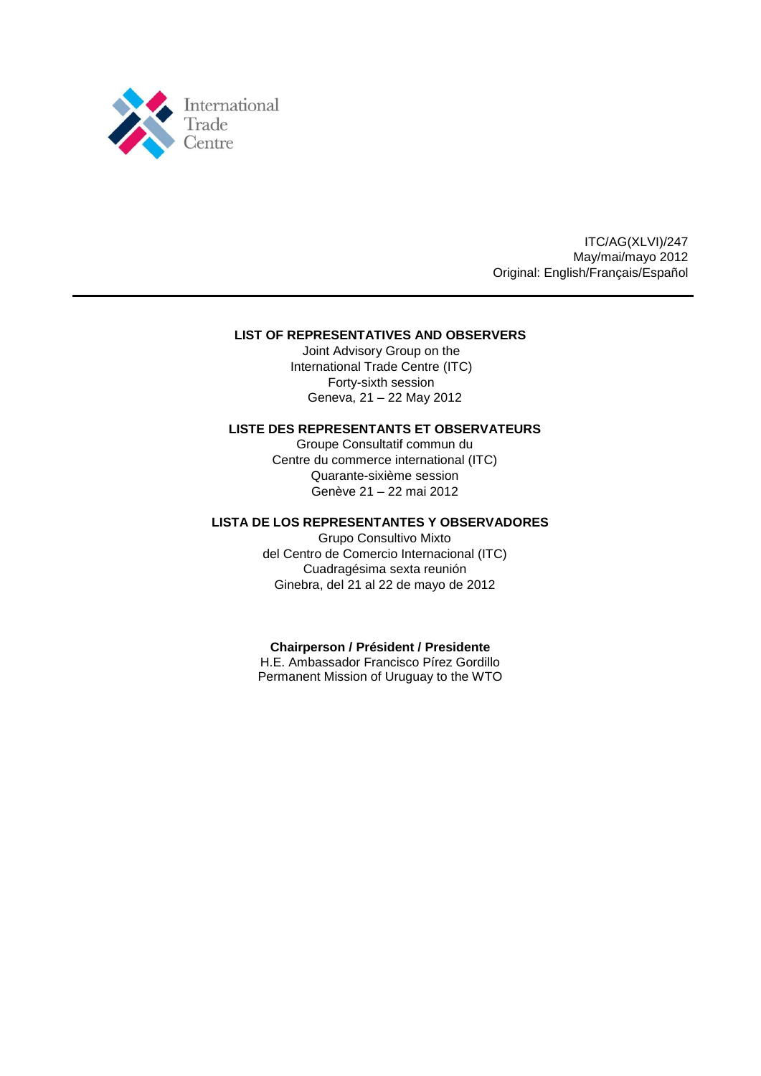

ITC/AG(XLVI)/247 May/mai/mayo 2012 Original: English/Français/Español

## **LIST OF REPRESENTATIVES AND OBSERVERS**

Joint Advisory Group on the International Trade Centre (ITC) Forty-sixth session Geneva, 21 – 22 May 2012

## **LISTE DES REPRESENTANTS ET OBSERVATEURS**

Groupe Consultatif commun du Centre du commerce international (ITC) Quarante-sixième session Genève 21 – 22 mai 2012

## **LISTA DE LOS REPRESENTANTES Y OBSERVADORES**

Grupo Consultivo Mixto del Centro de Comercio Internacional (ITC) Cuadragésima sexta reunión Ginebra, del 21 al 22 de mayo de 2012

## **Chairperson / Président / Presidente**

H.E. Ambassador Francisco Pírez Gordillo Permanent Mission of Uruguay to the WTO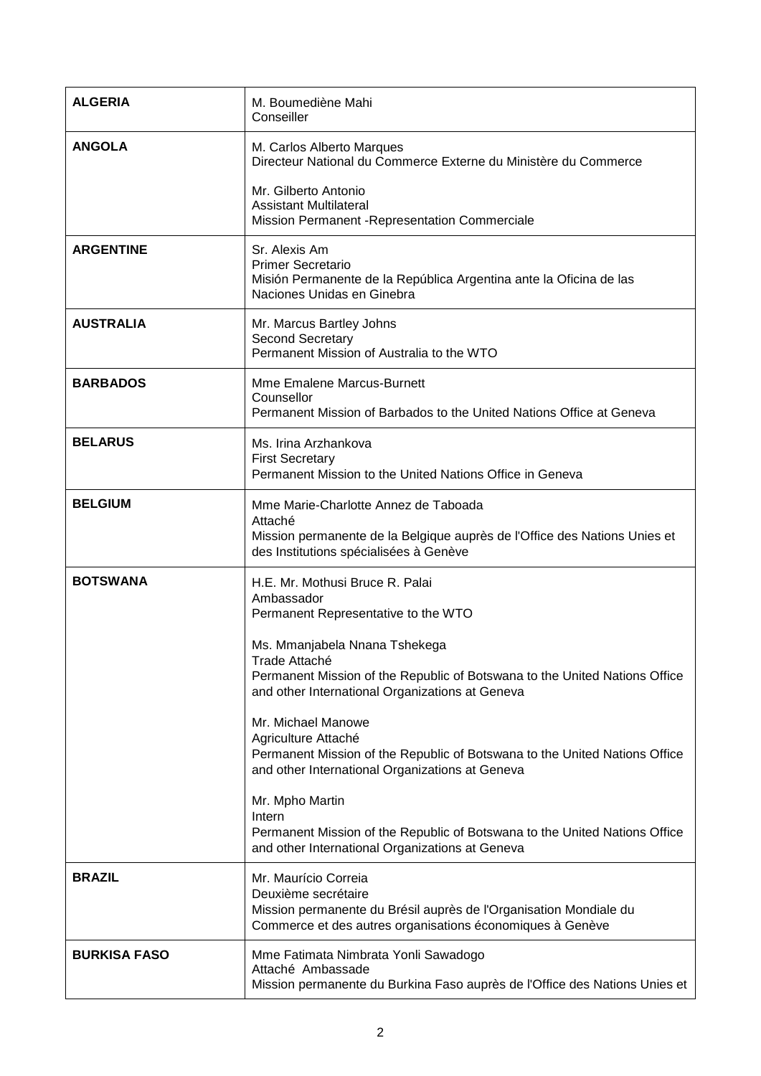| <b>ALGERIA</b>      | M. Boumediène Mahi<br>Conseiller                                                                                                                                                                                                                                                                                                                                                                                                                                                                                                                                                                                    |
|---------------------|---------------------------------------------------------------------------------------------------------------------------------------------------------------------------------------------------------------------------------------------------------------------------------------------------------------------------------------------------------------------------------------------------------------------------------------------------------------------------------------------------------------------------------------------------------------------------------------------------------------------|
| <b>ANGOLA</b>       | M. Carlos Alberto Marques<br>Directeur National du Commerce Externe du Ministère du Commerce                                                                                                                                                                                                                                                                                                                                                                                                                                                                                                                        |
|                     | Mr. Gilberto Antonio<br><b>Assistant Multilateral</b><br>Mission Permanent - Representation Commerciale                                                                                                                                                                                                                                                                                                                                                                                                                                                                                                             |
| <b>ARGENTINE</b>    | Sr. Alexis Am<br><b>Primer Secretario</b><br>Misión Permanente de la República Argentina ante la Oficina de las<br>Naciones Unidas en Ginebra                                                                                                                                                                                                                                                                                                                                                                                                                                                                       |
| <b>AUSTRALIA</b>    | Mr. Marcus Bartley Johns<br>Second Secretary<br>Permanent Mission of Australia to the WTO                                                                                                                                                                                                                                                                                                                                                                                                                                                                                                                           |
| <b>BARBADOS</b>     | Mme Emalene Marcus-Burnett<br>Counsellor<br>Permanent Mission of Barbados to the United Nations Office at Geneva                                                                                                                                                                                                                                                                                                                                                                                                                                                                                                    |
| <b>BELARUS</b>      | Ms. Irina Arzhankova<br><b>First Secretary</b><br>Permanent Mission to the United Nations Office in Geneva                                                                                                                                                                                                                                                                                                                                                                                                                                                                                                          |
| <b>BELGIUM</b>      | Mme Marie-Charlotte Annez de Taboada<br>Attaché<br>Mission permanente de la Belgique auprès de l'Office des Nations Unies et<br>des Institutions spécialisées à Genève                                                                                                                                                                                                                                                                                                                                                                                                                                              |
| <b>BOTSWANA</b>     | H.E. Mr. Mothusi Bruce R. Palai<br>Ambassador<br>Permanent Representative to the WTO<br>Ms. Mmanjabela Nnana Tshekega<br>Trade Attaché<br>Permanent Mission of the Republic of Botswana to the United Nations Office<br>and other International Organizations at Geneva<br>Mr. Michael Manowe<br>Agriculture Attaché<br>Permanent Mission of the Republic of Botswana to the United Nations Office<br>and other International Organizations at Geneva<br>Mr. Mpho Martin<br>Intern<br>Permanent Mission of the Republic of Botswana to the United Nations Office<br>and other International Organizations at Geneva |
| <b>BRAZIL</b>       | Mr. Maurício Correia<br>Deuxième secrétaire<br>Mission permanente du Brésil auprès de l'Organisation Mondiale du<br>Commerce et des autres organisations économiques à Genève                                                                                                                                                                                                                                                                                                                                                                                                                                       |
| <b>BURKISA FASO</b> | Mme Fatimata Nimbrata Yonli Sawadogo<br>Attaché Ambassade<br>Mission permanente du Burkina Faso auprès de l'Office des Nations Unies et                                                                                                                                                                                                                                                                                                                                                                                                                                                                             |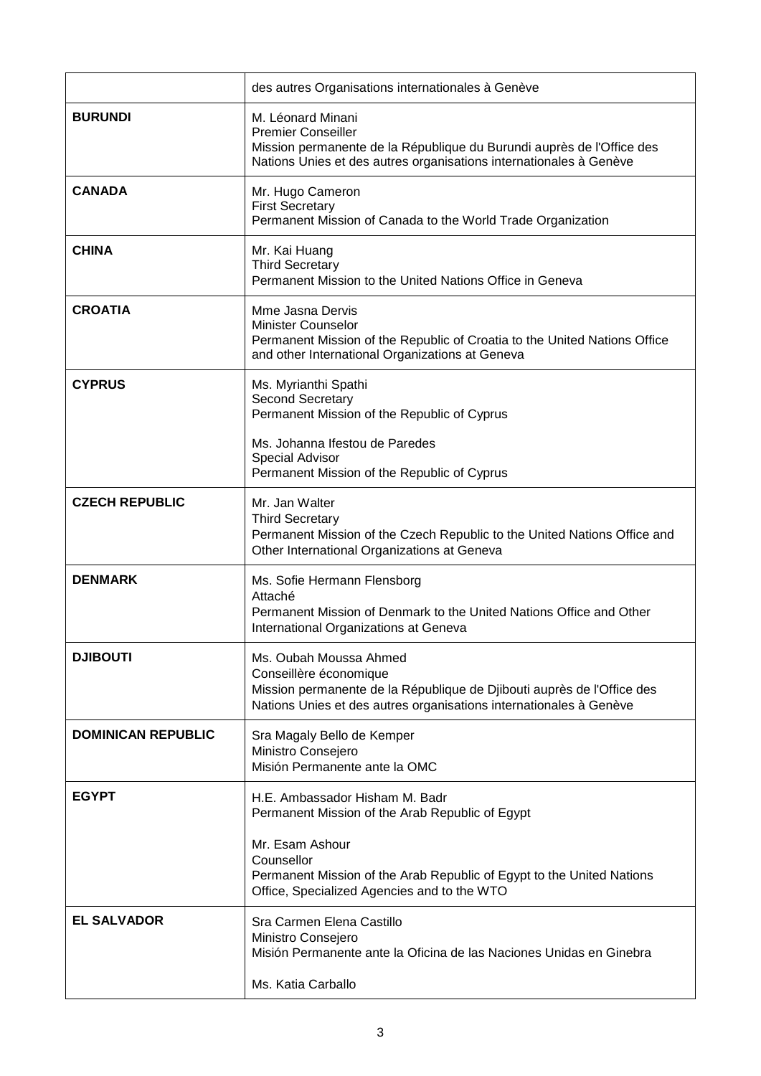|                           | des autres Organisations internationales à Genève                                                                                                                                                                                          |
|---------------------------|--------------------------------------------------------------------------------------------------------------------------------------------------------------------------------------------------------------------------------------------|
| <b>BURUNDI</b>            | M. Léonard Minani<br><b>Premier Conseiller</b><br>Mission permanente de la République du Burundi auprès de l'Office des<br>Nations Unies et des autres organisations internationales à Genève                                              |
| <b>CANADA</b>             | Mr. Hugo Cameron<br><b>First Secretary</b><br>Permanent Mission of Canada to the World Trade Organization                                                                                                                                  |
| <b>CHINA</b>              | Mr. Kai Huang<br><b>Third Secretary</b><br>Permanent Mission to the United Nations Office in Geneva                                                                                                                                        |
| <b>CROATIA</b>            | Mme Jasna Dervis<br><b>Minister Counselor</b><br>Permanent Mission of the Republic of Croatia to the United Nations Office<br>and other International Organizations at Geneva                                                              |
| <b>CYPRUS</b>             | Ms. Myrianthi Spathi<br><b>Second Secretary</b><br>Permanent Mission of the Republic of Cyprus<br>Ms. Johanna Ifestou de Paredes<br><b>Special Advisor</b><br>Permanent Mission of the Republic of Cyprus                                  |
| <b>CZECH REPUBLIC</b>     | Mr. Jan Walter<br><b>Third Secretary</b><br>Permanent Mission of the Czech Republic to the United Nations Office and<br>Other International Organizations at Geneva                                                                        |
| <b>DENMARK</b>            | Ms. Sofie Hermann Flensborg<br>Attaché<br>Permanent Mission of Denmark to the United Nations Office and Other<br>International Organizations at Geneva                                                                                     |
| <b>DJIBOUTI</b>           | Ms. Oubah Moussa Ahmed<br>Conseillère économique<br>Mission permanente de la République de Djibouti auprès de l'Office des<br>Nations Unies et des autres organisations internationales à Genève                                           |
| <b>DOMINICAN REPUBLIC</b> | Sra Magaly Bello de Kemper<br>Ministro Consejero<br>Misión Permanente ante la OMC                                                                                                                                                          |
| <b>EGYPT</b>              | H.E. Ambassador Hisham M. Badr<br>Permanent Mission of the Arab Republic of Egypt<br>Mr. Esam Ashour<br>Counsellor<br>Permanent Mission of the Arab Republic of Egypt to the United Nations<br>Office, Specialized Agencies and to the WTO |
| <b>EL SALVADOR</b>        | Sra Carmen Elena Castillo<br>Ministro Consejero<br>Misión Permanente ante la Oficina de las Naciones Unidas en Ginebra<br>Ms. Katia Carballo                                                                                               |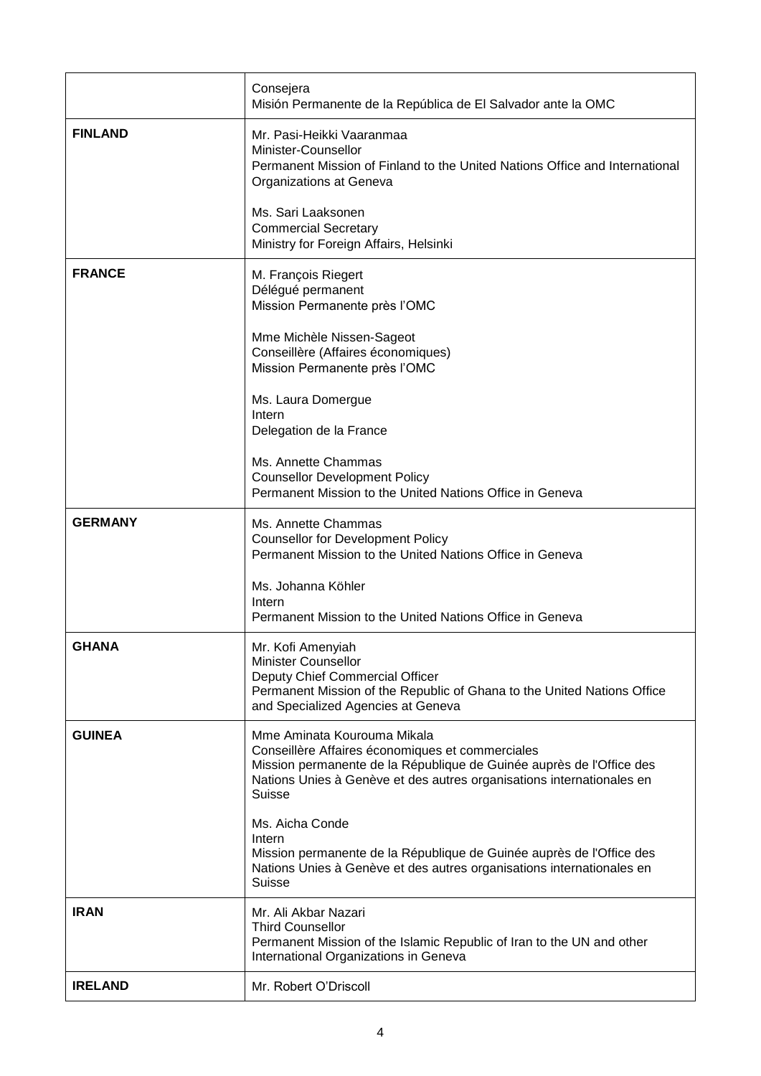|                | Consejera<br>Misión Permanente de la República de El Salvador ante la OMC                                                                                                                                                                  |
|----------------|--------------------------------------------------------------------------------------------------------------------------------------------------------------------------------------------------------------------------------------------|
| <b>FINLAND</b> | Mr. Pasi-Heikki Vaaranmaa<br>Minister-Counsellor<br>Permanent Mission of Finland to the United Nations Office and International<br>Organizations at Geneva                                                                                 |
|                | Ms. Sari Laaksonen<br><b>Commercial Secretary</b><br>Ministry for Foreign Affairs, Helsinki                                                                                                                                                |
| <b>FRANCE</b>  | M. François Riegert<br>Délégué permanent<br>Mission Permanente près l'OMC                                                                                                                                                                  |
|                | Mme Michèle Nissen-Sageot<br>Conseillère (Affaires économiques)<br>Mission Permanente près l'OMC                                                                                                                                           |
|                | Ms. Laura Domergue<br>Intern<br>Delegation de la France                                                                                                                                                                                    |
|                | Ms. Annette Chammas<br><b>Counsellor Development Policy</b><br>Permanent Mission to the United Nations Office in Geneva                                                                                                                    |
| <b>GERMANY</b> | Ms. Annette Chammas<br><b>Counsellor for Development Policy</b><br>Permanent Mission to the United Nations Office in Geneva                                                                                                                |
|                | Ms. Johanna Köhler<br>Intern<br>Permanent Mission to the United Nations Office in Geneva                                                                                                                                                   |
| <b>GHANA</b>   | Mr. Kofi Amenyiah<br>Minister Counsellor<br>Deputy Chief Commercial Officer<br>Permanent Mission of the Republic of Ghana to the United Nations Office<br>and Specialized Agencies at Geneva                                               |
| <b>GUINEA</b>  | Mme Aminata Kourouma Mikala<br>Conseillère Affaires économiques et commerciales<br>Mission permanente de la République de Guinée auprès de l'Office des<br>Nations Unies à Genève et des autres organisations internationales en<br>Suisse |
|                | Ms. Aicha Conde<br>Intern<br>Mission permanente de la République de Guinée auprès de l'Office des<br>Nations Unies à Genève et des autres organisations internationales en<br><b>Suisse</b>                                                |
| <b>IRAN</b>    | Mr. Ali Akbar Nazari<br><b>Third Counsellor</b><br>Permanent Mission of the Islamic Republic of Iran to the UN and other<br>International Organizations in Geneva                                                                          |
| <b>IRELAND</b> | Mr. Robert O'Driscoll                                                                                                                                                                                                                      |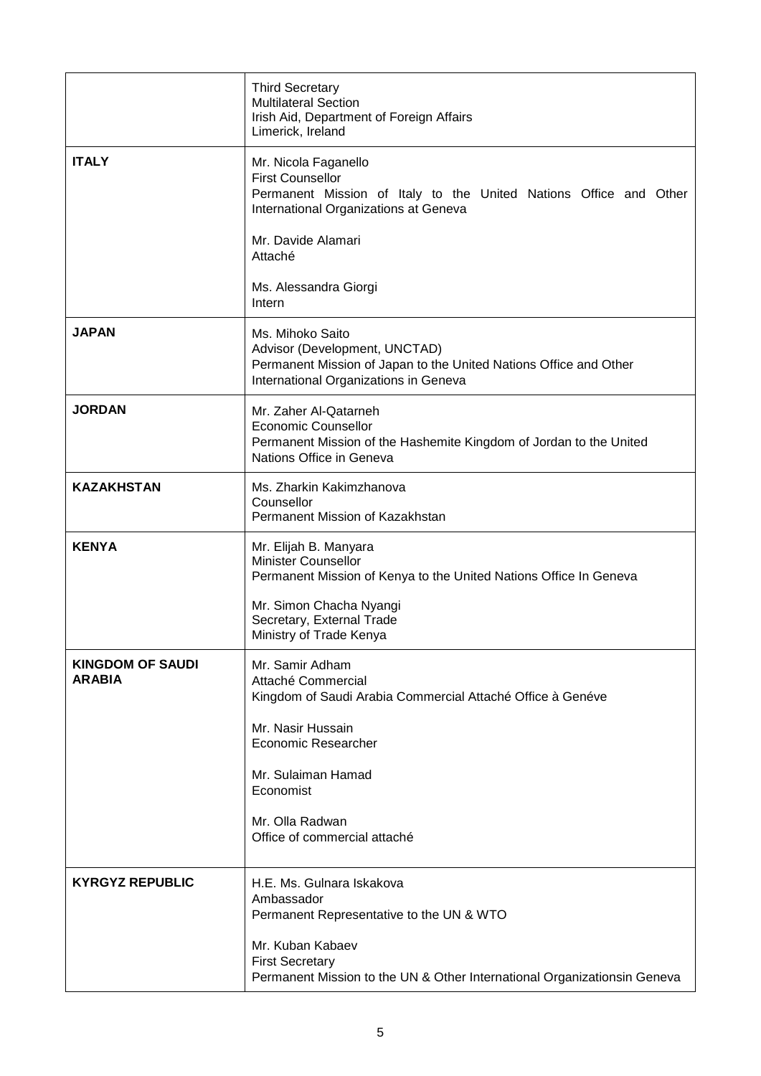|                                          | <b>Third Secretary</b><br><b>Multilateral Section</b><br>Irish Aid, Department of Foreign Affairs<br>Limerick, Ireland                                          |
|------------------------------------------|-----------------------------------------------------------------------------------------------------------------------------------------------------------------|
| <b>ITALY</b>                             | Mr. Nicola Faganello<br><b>First Counsellor</b><br>Permanent Mission of Italy to the United Nations Office and Other<br>International Organizations at Geneva   |
|                                          | Mr. Davide Alamari<br>Attaché                                                                                                                                   |
|                                          | Ms. Alessandra Giorgi<br>Intern                                                                                                                                 |
| <b>JAPAN</b>                             | Ms. Mihoko Saito<br>Advisor (Development, UNCTAD)<br>Permanent Mission of Japan to the United Nations Office and Other<br>International Organizations in Geneva |
| <b>JORDAN</b>                            | Mr. Zaher Al-Qatarneh<br><b>Economic Counsellor</b><br>Permanent Mission of the Hashemite Kingdom of Jordan to the United<br>Nations Office in Geneva           |
| <b>KAZAKHSTAN</b>                        | Ms. Zharkin Kakimzhanova<br>Counsellor<br>Permanent Mission of Kazakhstan                                                                                       |
| <b>KENYA</b>                             | Mr. Elijah B. Manyara<br><b>Minister Counsellor</b><br>Permanent Mission of Kenya to the United Nations Office In Geneva                                        |
|                                          | Mr. Simon Chacha Nyangi<br>Secretary, External Trade<br>Ministry of Trade Kenya                                                                                 |
| <b>KINGDOM OF SAUDI</b><br><b>ARABIA</b> | Mr. Samir Adham<br>Attaché Commercial<br>Kingdom of Saudi Arabia Commercial Attaché Office à Genéve                                                             |
|                                          | Mr. Nasir Hussain<br><b>Economic Researcher</b>                                                                                                                 |
|                                          | Mr. Sulaiman Hamad<br>Economist                                                                                                                                 |
|                                          | Mr. Olla Radwan<br>Office of commercial attaché                                                                                                                 |
| <b>KYRGYZ REPUBLIC</b>                   | H.E. Ms. Gulnara Iskakova<br>Ambassador<br>Permanent Representative to the UN & WTO                                                                             |
|                                          | Mr. Kuban Kabaev<br><b>First Secretary</b><br>Permanent Mission to the UN & Other International Organizationsin Geneva                                          |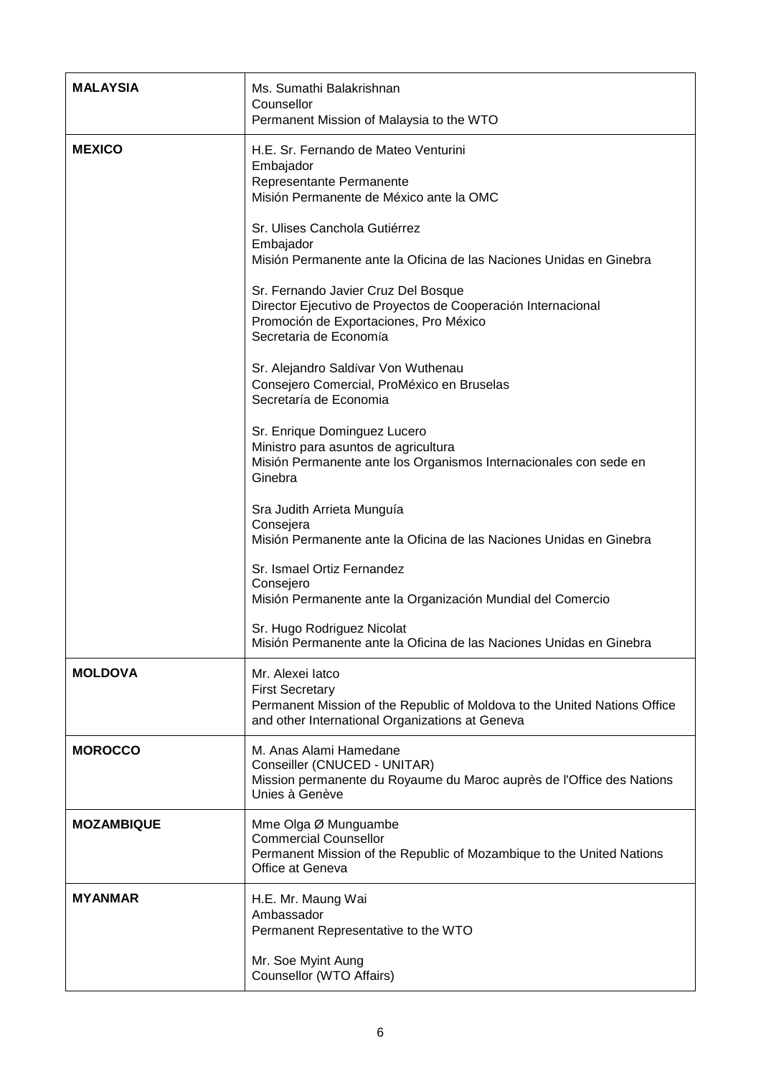| <b>MALAYSIA</b>   | Ms. Sumathi Balakrishnan<br>Counsellor<br>Permanent Mission of Malaysia to the WTO                                                                                         |
|-------------------|----------------------------------------------------------------------------------------------------------------------------------------------------------------------------|
| <b>MEXICO</b>     | H.E. Sr. Fernando de Mateo Venturini<br>Embajador<br>Representante Permanente<br>Misión Permanente de México ante la OMC                                                   |
|                   | Sr. Ulises Canchola Gutiérrez<br>Embajador<br>Misión Permanente ante la Oficina de las Naciones Unidas en Ginebra                                                          |
|                   | Sr. Fernando Javier Cruz Del Bosque<br>Director Ejecutivo de Proyectos de Cooperación Internacional<br>Promoción de Exportaciones, Pro México<br>Secretaria de Economía    |
|                   | Sr. Alejandro Saldívar Von Wuthenau<br>Consejero Comercial, ProMéxico en Bruselas<br>Secretaría de Economia                                                                |
|                   | Sr. Enrique Dominguez Lucero<br>Ministro para asuntos de agricultura<br>Misión Permanente ante los Organismos Internacionales con sede en<br>Ginebra                       |
|                   | Sra Judith Arrieta Munguía<br>Consejera<br>Misión Permanente ante la Oficina de las Naciones Unidas en Ginebra                                                             |
|                   | Sr. Ismael Ortiz Fernandez<br>Consejero<br>Misión Permanente ante la Organización Mundial del Comercio                                                                     |
|                   | Sr. Hugo Rodriguez Nicolat<br>Misión Permanente ante la Oficina de las Naciones Unidas en Ginebra                                                                          |
| <b>MOLDOVA</b>    | Mr. Alexei latco<br><b>First Secretary</b><br>Permanent Mission of the Republic of Moldova to the United Nations Office<br>and other International Organizations at Geneva |
| <b>MOROCCO</b>    | M. Anas Alami Hamedane<br>Conseiller (CNUCED - UNITAR)<br>Mission permanente du Royaume du Maroc auprès de l'Office des Nations<br>Unies à Genève                          |
| <b>MOZAMBIQUE</b> | Mme Olga Ø Munguambe<br><b>Commercial Counsellor</b><br>Permanent Mission of the Republic of Mozambique to the United Nations<br>Office at Geneva                          |
| <b>MYANMAR</b>    | H.E. Mr. Maung Wai<br>Ambassador<br>Permanent Representative to the WTO                                                                                                    |
|                   | Mr. Soe Myint Aung<br>Counsellor (WTO Affairs)                                                                                                                             |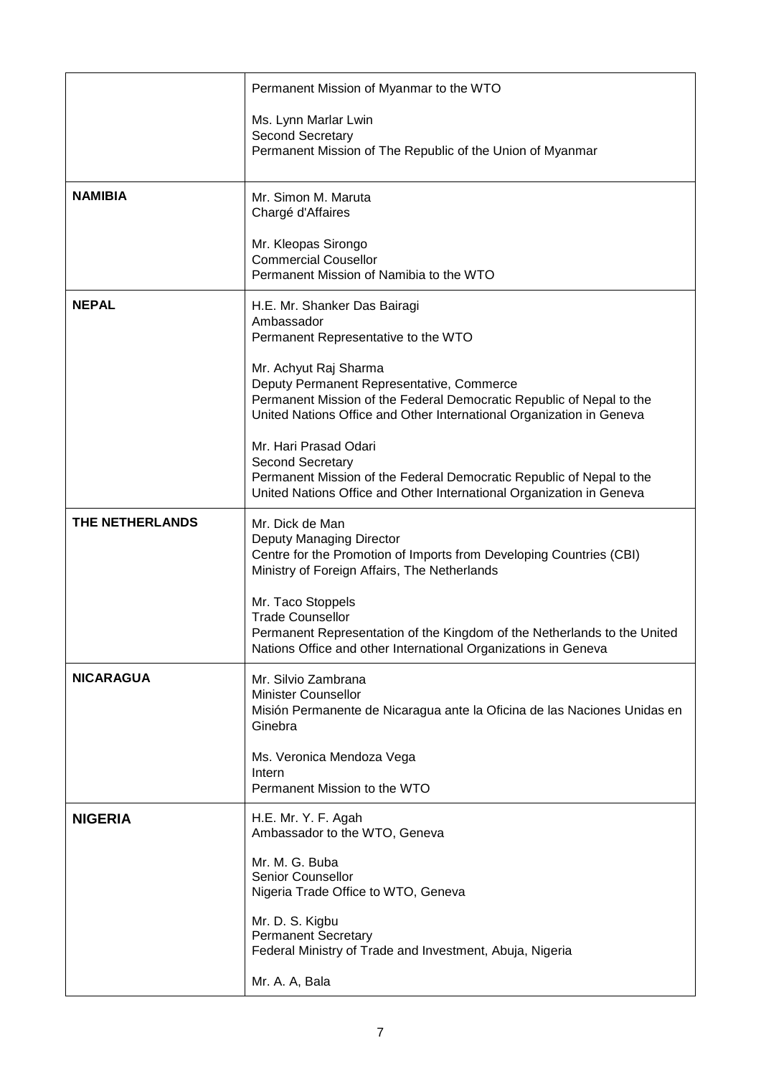|                  | Permanent Mission of Myanmar to the WTO                                                                                                                                                                            |
|------------------|--------------------------------------------------------------------------------------------------------------------------------------------------------------------------------------------------------------------|
|                  | Ms. Lynn Marlar Lwin                                                                                                                                                                                               |
|                  | Second Secretary<br>Permanent Mission of The Republic of the Union of Myanmar                                                                                                                                      |
| <b>NAMIBIA</b>   | Mr. Simon M. Maruta<br>Chargé d'Affaires                                                                                                                                                                           |
|                  | Mr. Kleopas Sirongo<br><b>Commercial Cousellor</b><br>Permanent Mission of Namibia to the WTO                                                                                                                      |
| <b>NEPAL</b>     | H.E. Mr. Shanker Das Bairagi<br>Ambassador<br>Permanent Representative to the WTO                                                                                                                                  |
|                  | Mr. Achyut Raj Sharma<br>Deputy Permanent Representative, Commerce<br>Permanent Mission of the Federal Democratic Republic of Nepal to the<br>United Nations Office and Other International Organization in Geneva |
|                  | Mr. Hari Prasad Odari<br>Second Secretary<br>Permanent Mission of the Federal Democratic Republic of Nepal to the<br>United Nations Office and Other International Organization in Geneva                          |
| THE NETHERLANDS  | Mr. Dick de Man<br>Deputy Managing Director<br>Centre for the Promotion of Imports from Developing Countries (CBI)<br>Ministry of Foreign Affairs, The Netherlands                                                 |
|                  | Mr. Taco Stoppels<br><b>Trade Counsellor</b><br>Permanent Representation of the Kingdom of the Netherlands to the United<br>Nations Office and other International Organizations in Geneva                         |
| <b>NICARAGUA</b> | Mr. Silvio Zambrana<br><b>Minister Counsellor</b><br>Misión Permanente de Nicaragua ante la Oficina de las Naciones Unidas en<br>Ginebra                                                                           |
|                  | Ms. Veronica Mendoza Vega<br>Intern<br>Permanent Mission to the WTO                                                                                                                                                |
| <b>NIGERIA</b>   | H.E. Mr. Y. F. Agah<br>Ambassador to the WTO, Geneva                                                                                                                                                               |
|                  | Mr. M. G. Buba<br><b>Senior Counsellor</b><br>Nigeria Trade Office to WTO, Geneva                                                                                                                                  |
|                  | Mr. D. S. Kigbu<br><b>Permanent Secretary</b><br>Federal Ministry of Trade and Investment, Abuja, Nigeria                                                                                                          |
|                  | Mr. A. A, Bala                                                                                                                                                                                                     |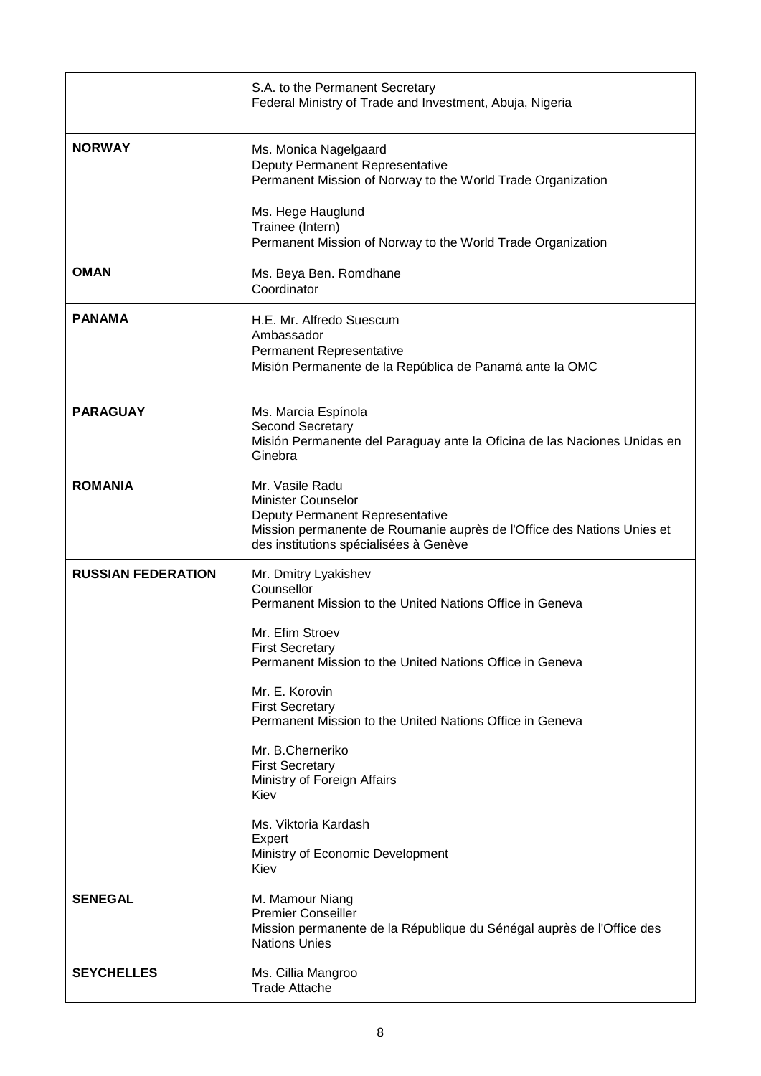|                           | S.A. to the Permanent Secretary<br>Federal Ministry of Trade and Investment, Abuja, Nigeria                                                                                                                                                                                                                                         |
|---------------------------|-------------------------------------------------------------------------------------------------------------------------------------------------------------------------------------------------------------------------------------------------------------------------------------------------------------------------------------|
| <b>NORWAY</b>             | Ms. Monica Nagelgaard<br>Deputy Permanent Representative<br>Permanent Mission of Norway to the World Trade Organization<br>Ms. Hege Hauglund<br>Trainee (Intern)<br>Permanent Mission of Norway to the World Trade Organization                                                                                                     |
| <b>OMAN</b>               | Ms. Beya Ben. Romdhane<br>Coordinator                                                                                                                                                                                                                                                                                               |
| <b>PANAMA</b>             | H.E. Mr. Alfredo Suescum<br>Ambassador<br>Permanent Representative<br>Misión Permanente de la República de Panamá ante la OMC                                                                                                                                                                                                       |
| <b>PARAGUAY</b>           | Ms. Marcia Espínola<br>Second Secretary<br>Misión Permanente del Paraguay ante la Oficina de las Naciones Unidas en<br>Ginebra                                                                                                                                                                                                      |
| <b>ROMANIA</b>            | Mr. Vasile Radu<br><b>Minister Counselor</b><br>Deputy Permanent Representative<br>Mission permanente de Roumanie auprès de l'Office des Nations Unies et<br>des institutions spécialisées à Genève                                                                                                                                 |
| <b>RUSSIAN FEDERATION</b> | Mr. Dmitry Lyakishev<br>Counsellor<br>Permanent Mission to the United Nations Office in Geneva<br>Mr. Efim Stroev<br><b>First Secretary</b><br>Permanent Mission to the United Nations Office in Geneva<br>Mr. E. Korovin<br><b>First Secretary</b><br>Permanent Mission to the United Nations Office in Geneva<br>Mr. B.Cherneriko |
|                           | <b>First Secretary</b><br>Ministry of Foreign Affairs<br>Kiev<br>Ms. Viktoria Kardash<br>Expert<br>Ministry of Economic Development                                                                                                                                                                                                 |
| <b>SENEGAL</b>            | Kiev<br>M. Mamour Niang<br><b>Premier Conseiller</b><br>Mission permanente de la République du Sénégal auprès de l'Office des<br><b>Nations Unies</b>                                                                                                                                                                               |
| <b>SEYCHELLES</b>         | Ms. Cillia Mangroo<br><b>Trade Attache</b>                                                                                                                                                                                                                                                                                          |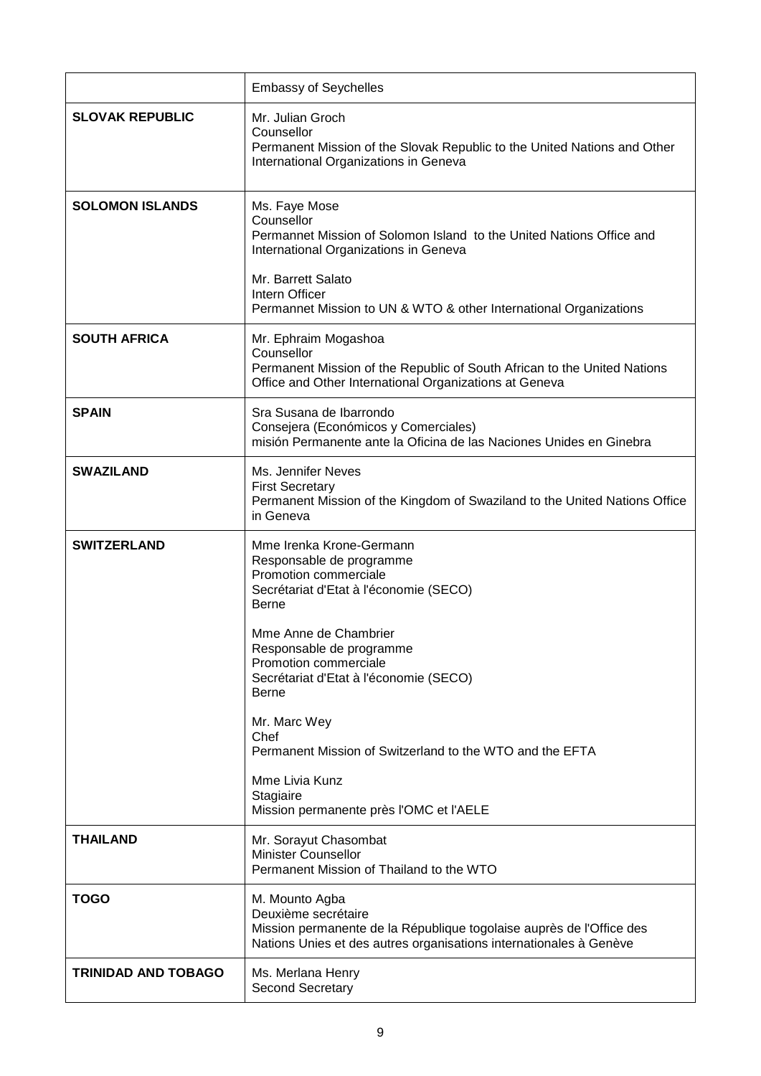|                            | <b>Embassy of Seychelles</b>                                                                                                                                                                                                                                                    |
|----------------------------|---------------------------------------------------------------------------------------------------------------------------------------------------------------------------------------------------------------------------------------------------------------------------------|
| <b>SLOVAK REPUBLIC</b>     | Mr. Julian Groch<br>Counsellor<br>Permanent Mission of the Slovak Republic to the United Nations and Other<br>International Organizations in Geneva                                                                                                                             |
| <b>SOLOMON ISLANDS</b>     | Ms. Faye Mose<br>Counsellor<br>Permannet Mission of Solomon Island to the United Nations Office and<br>International Organizations in Geneva<br>Mr. Barrett Salato<br>Intern Officer<br>Permannet Mission to UN & WTO & other International Organizations                       |
| <b>SOUTH AFRICA</b>        | Mr. Ephraim Mogashoa<br>Counsellor<br>Permanent Mission of the Republic of South African to the United Nations<br>Office and Other International Organizations at Geneva                                                                                                        |
| <b>SPAIN</b>               | Sra Susana de Ibarrondo<br>Consejera (Económicos y Comerciales)<br>misión Permanente ante la Oficina de las Naciones Unides en Ginebra                                                                                                                                          |
| <b>SWAZILAND</b>           | Ms. Jennifer Neves<br><b>First Secretary</b><br>Permanent Mission of the Kingdom of Swaziland to the United Nations Office<br>in Geneva                                                                                                                                         |
| <b>SWITZERLAND</b>         | Mme Irenka Krone-Germann<br>Responsable de programme<br>Promotion commerciale<br>Secrétariat d'Etat à l'économie (SECO)<br><b>Berne</b><br>Mme Anne de Chambrier<br>Responsable de programme<br>Promotion commerciale<br>Secrétariat d'Etat à l'économie (SECO)<br><b>Berne</b> |
|                            | Mr. Marc Wey<br>Chef<br>Permanent Mission of Switzerland to the WTO and the EFTA<br>Mme Livia Kunz<br>Stagiaire                                                                                                                                                                 |
|                            | Mission permanente près l'OMC et l'AELE                                                                                                                                                                                                                                         |
| <b>THAILAND</b>            | Mr. Sorayut Chasombat<br><b>Minister Counsellor</b><br>Permanent Mission of Thailand to the WTO                                                                                                                                                                                 |
| <b>TOGO</b>                | M. Mounto Agba<br>Deuxième secrétaire<br>Mission permanente de la République togolaise auprès de l'Office des<br>Nations Unies et des autres organisations internationales à Genève                                                                                             |
| <b>TRINIDAD AND TOBAGO</b> | Ms. Merlana Henry<br>Second Secretary                                                                                                                                                                                                                                           |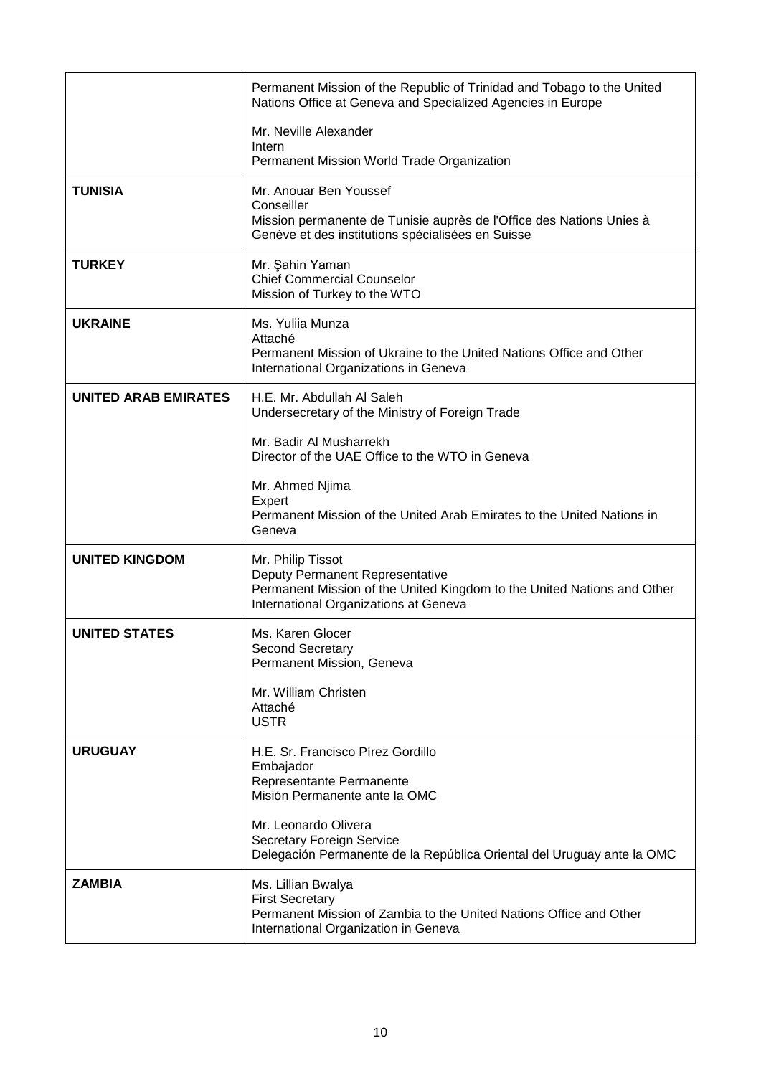|                             | Permanent Mission of the Republic of Trinidad and Tobago to the United<br>Nations Office at Geneva and Specialized Agencies in Europe                                    |
|-----------------------------|--------------------------------------------------------------------------------------------------------------------------------------------------------------------------|
|                             | Mr. Neville Alexander<br>Intern<br>Permanent Mission World Trade Organization                                                                                            |
|                             |                                                                                                                                                                          |
| <b>TUNISIA</b>              | Mr. Anouar Ben Youssef<br>Conseiller<br>Mission permanente de Tunisie auprès de l'Office des Nations Unies à<br>Genève et des institutions spécialisées en Suisse        |
| <b>TURKEY</b>               | Mr. Şahin Yaman<br><b>Chief Commercial Counselor</b><br>Mission of Turkey to the WTO                                                                                     |
| <b>UKRAINE</b>              | Ms. Yulija Munza<br>Attaché<br>Permanent Mission of Ukraine to the United Nations Office and Other<br>International Organizations in Geneva                              |
| <b>UNITED ARAB EMIRATES</b> | H.E. Mr. Abdullah AI Saleh<br>Undersecretary of the Ministry of Foreign Trade                                                                                            |
|                             | Mr. Badir Al Musharrekh<br>Director of the UAE Office to the WTO in Geneva                                                                                               |
|                             | Mr. Ahmed Njima<br>Expert<br>Permanent Mission of the United Arab Emirates to the United Nations in<br>Geneva                                                            |
| <b>UNITED KINGDOM</b>       | Mr. Philip Tissot<br>Deputy Permanent Representative<br>Permanent Mission of the United Kingdom to the United Nations and Other<br>International Organizations at Geneva |
| <b>UNITED STATES</b>        | Ms. Karen Glocer<br><b>Second Secretary</b><br>Permanent Mission, Geneva                                                                                                 |
|                             | Mr. William Christen<br>Attaché<br><b>USTR</b>                                                                                                                           |
| <b>URUGUAY</b>              | H.E. Sr. Francisco Pírez Gordillo<br>Embajador<br>Representante Permanente<br>Misión Permanente ante la OMC                                                              |
|                             | Mr. Leonardo Olivera<br>Secretary Foreign Service<br>Delegación Permanente de la República Oriental del Uruguay ante la OMC                                              |
| <b>ZAMBIA</b>               | Ms. Lillian Bwalya<br><b>First Secretary</b><br>Permanent Mission of Zambia to the United Nations Office and Other<br>International Organization in Geneva               |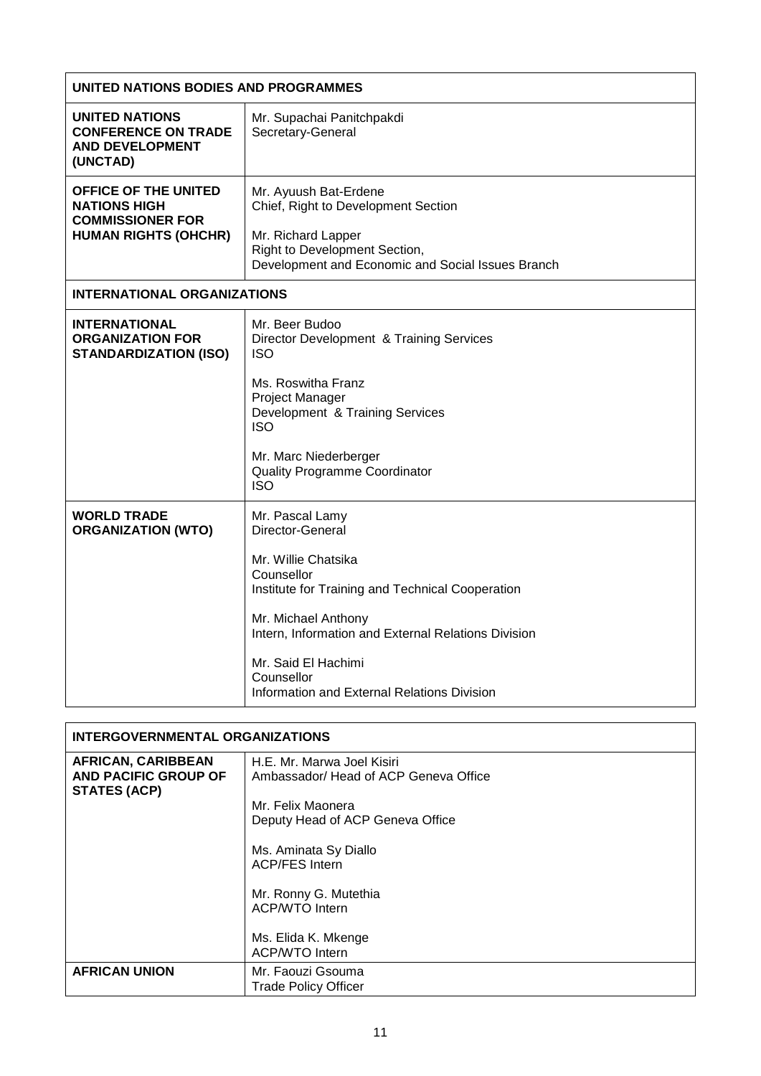| UNITED NATIONS BODIES AND PROGRAMMES                                                                         |                                                                                                                                                                                                                                                                                                |
|--------------------------------------------------------------------------------------------------------------|------------------------------------------------------------------------------------------------------------------------------------------------------------------------------------------------------------------------------------------------------------------------------------------------|
| UNITED NATIONS<br><b>CONFERENCE ON TRADE</b><br><b>AND DEVELOPMENT</b><br>(UNCTAD)                           | Mr. Supachai Panitchpakdi<br>Secretary-General                                                                                                                                                                                                                                                 |
| <b>OFFICE OF THE UNITED</b><br><b>NATIONS HIGH</b><br><b>COMMISSIONER FOR</b><br><b>HUMAN RIGHTS (OHCHR)</b> | Mr. Ayuush Bat-Erdene<br>Chief, Right to Development Section<br>Mr. Richard Lapper<br>Right to Development Section,<br>Development and Economic and Social Issues Branch                                                                                                                       |
| <b>INTERNATIONAL ORGANIZATIONS</b>                                                                           |                                                                                                                                                                                                                                                                                                |
| <b>INTERNATIONAL</b><br><b>ORGANIZATION FOR</b><br><b>STANDARDIZATION (ISO)</b>                              | Mr. Beer Budoo<br>Director Development & Training Services<br><b>ISO</b><br>Ms. Roswitha Franz<br>Project Manager<br>Development & Training Services<br><b>ISO</b><br>Mr. Marc Niederberger<br><b>Quality Programme Coordinator</b><br><b>ISO</b>                                              |
| <b>WORLD TRADE</b><br><b>ORGANIZATION (WTO)</b>                                                              | Mr. Pascal Lamy<br>Director-General<br>Mr. Willie Chatsika<br>Counsellor<br>Institute for Training and Technical Cooperation<br>Mr. Michael Anthony<br>Intern, Information and External Relations Division<br>Mr. Said El Hachimi<br>Counsellor<br>Information and External Relations Division |

| <b>INTERGOVERNMENTAL ORGANIZATIONS</b>                                   |                                                                                                                                                                                                                                                                                  |
|--------------------------------------------------------------------------|----------------------------------------------------------------------------------------------------------------------------------------------------------------------------------------------------------------------------------------------------------------------------------|
| <b>AFRICAN, CARIBBEAN</b><br>AND PACIFIC GROUP OF<br><b>STATES (ACP)</b> | H.E. Mr. Marwa Joel Kisiri<br>Ambassador/ Head of ACP Geneva Office<br>Mr. Felix Maonera<br>Deputy Head of ACP Geneva Office<br>Ms. Aminata Sy Diallo<br><b>ACP/FES Intern</b><br>Mr. Ronny G. Mutethia<br><b>ACP/WTO Intern</b><br>Ms. Elida K. Mkenge<br><b>ACP/WTO Intern</b> |
| <b>AFRICAN UNION</b>                                                     | Mr. Faouzi Gsouma<br><b>Trade Policy Officer</b>                                                                                                                                                                                                                                 |